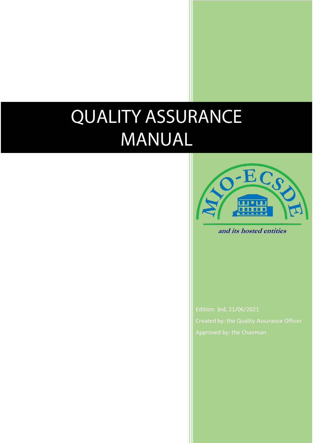# **QUALITY ASSURANCE MANUAL**



**and its hosted entities**

Edition: 3rd, 21/06/2021 Approved by: the Chairman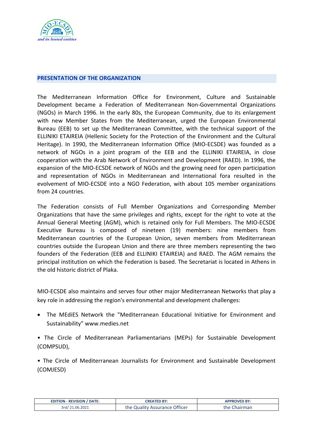

# **PRESENTATION OF THE ORGANIZATION**

The Mediterranean Information Office for Environment, Culture and Sustainable Development became a Federation of Mediterranean Non-Governmental Organizations (NGOs) in March 1996. In the early 80s, the European Community, due to its enlargement with new Member States from the Mediterranean, urged the European Environmental Bureau (EEB) to set up the Mediterranean Committee, with the technical support of the ELLINIKI ETAIREIA (Hellenic Society for the Protection of the Environment and the Cultural Heritage). In 1990, the Mediterranean Information Office (MIO-ECSDE) was founded as a network of NGOs in a joint program of the EEB and the ELLINIKI ETAIREIA, in close cooperation with the Arab Network of Environment and Development (RAED). In 1996, the expansion of the MIO-ECSDE network of NGOs and the growing need for open participation and representation of NGOs in Mediterranean and International fora resulted in the evolvement of MIO-ECSDE into a NGO Federation, with about 105 member organizations from 24 countries.

The Federation consists of Full Member Organizations and Corresponding Member Organizations that have the same privileges and rights, except for the right to vote at the Annual General Meeting (AGM), which is retained only for Full Members. The MIO-ECSDE Executive Bureau is composed of nineteen (19) members: nine members from Mediterranean countries of the European Union, seven members from Mediterranean countries outside the European Union and there are three members representing the two founders of the Federation (EEB and ELLINIKI ETAIREIA) and RAED. The AGM remains the principal institution on which the Federation is based. The Secretariat is located in Athens in the old historic district of Plaka.

MIO-ECSDE also maintains and serves four other major Mediterranean Networks that play a key role in addressing the region's environmental and development challenges:

- The MEdiES Network the "Mediterranean Educational Initiative for Environment and Sustainability" www.medies.net
- The Circle of Mediterranean Parliamentarians (MEPs) for Sustainable Development (COMPSUD),

• The Circle of Mediterranean Journalists for Environment and Sustainable Development (COMJESD)

| <b>EDITION - REVISION / DATE:</b> | <b>CREATED BY:</b>            | <b>APPROVED BY:</b> |
|-----------------------------------|-------------------------------|---------------------|
| 3rd/21.06.2021                    | the Quality Assurance Officer | the Chairman        |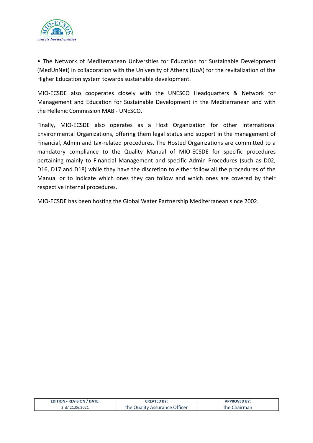

• The Network of Mediterranean Universities for Education for Sustainable Development (MedUnNet) in collaboration with the University of Athens (UoA) for the revitalization of the Higher Education system towards sustainable development.

MIO-ECSDE also cooperates closely with the UNESCO Headquarters & Network for Management and Education for Sustainable Development in the Mediterranean and with the Hellenic Commission MAB - UNESCO.

Finally, MIO-ECSDE also operates as a Host Organization for other International Environmental Organizations, offering them legal status and support in the management of Financial, Admin and tax-related procedures. The Hosted Organizations are committed to a mandatory compliance to the Quality Manual of MIO-ECSDE for specific procedures pertaining mainly to Financial Management and specific Admin Procedures (such as D02, D16, D17 and D18) while they have the discretion to either follow all the procedures of the Manual or to indicate which ones they can follow and which ones are covered by their respective internal procedures.

MIO-ECSDE has been hosting the Global Water Partnership Mediterranean since 2002.

| <b>EDITION - REVISION / DATE:</b> | <b>CREATED BY:</b>            | <b>APPROVED BY:</b> |
|-----------------------------------|-------------------------------|---------------------|
| 3rd/21.06.2021                    | the Quality Assurance Officer | Chairman<br>rne.    |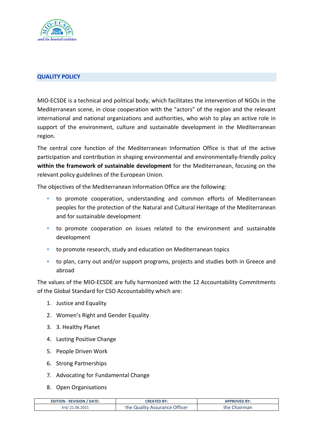

# **QUALITY POLICY**

MIO-ECSDE is a technical and political body, which facilitates the intervention of NGOs in the Mediterranean scene, in close cooperation with the "actors" of the region and the relevant international and national organizations and authorities, who wish to play an active role in support of the environment, culture and sustainable development in the Mediterranean region.

The central core function of the Mediterranean Information Office is that of the active participation and contribution in shaping environmental and environmentally-friendly policy **within the framework of sustainable development** for the Mediterranean, focusing on the relevant policy guidelines of the European Union.

The objectives of the Mediterranean Information Office are the following:

- to promote cooperation, understanding and common efforts of Mediterranean peoples for the protection of the Natural and Cultural Heritage of the Mediterranean and for sustainable development
- to promote cooperation on issues related to the environment and sustainable development
- to promote research, study and education on Mediterranean topics
- to plan, carry out and/or support programs, projects and studies both in Greece and abroad

The values of the MIO-ECSDE are fully harmonized with the 12 Accountability Commitments of the Global Standard for CSO Accountability which are:

- 1. Justice and Equality
- 2. Women's Right and Gender Equality
- 3. 3. Healthy Planet
- 4. Lasting Positive Change
- 5. People Driven Work
- 6. Strong Partnerships
- 7. Advocating for Fundamental Change
- 8. Open Organisations

| <b>EDITION - REVISION / DATE:</b> | <b>CREATED BY:</b>               | <b>APPROVED BY:</b> |
|-----------------------------------|----------------------------------|---------------------|
| 3rd/21.06.2021                    | Quality Assurance Officer<br>the | Chairman<br>thel    |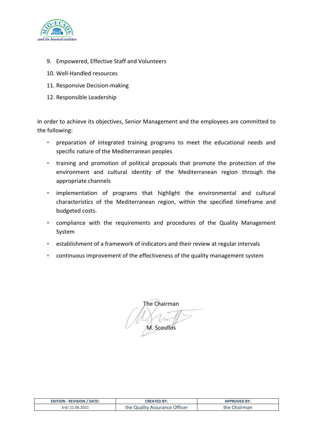

- 9. Empowered, Effective Staff and Volunteers
- 10. Well-Handled resources
- 11. Responsive Decision-making
- 12. Responsible Leadership

In order to achieve its objectives, Senior Management and the employees are committed to the following:

- **•** preparation of integrated training programs to meet the educational needs and specific nature of the Mediterranean peoples
- **.** training and promotion of political proposals that promote the protection of the environment and cultural identity of the Mediterranean region through the appropriate channels
- **·** implementation of programs that highlight the environmental and cultural characteristics of the Mediterranean region, within the specified timeframe and budgeted costs.
- **•** compliance with the requirements and procedures of the Quality Management System
- establishment of a framework of indicators and their review at regular intervals
- **•** continuous improvement of the effectiveness of the quality management system

The Chairman M. Scoullos

| <b>EDITION - REVISION / DATE:</b> | <b>CREATED BY:</b>        | <b>APPROVED BY:</b> |
|-----------------------------------|---------------------------|---------------------|
| 1.06.2021                         | Quality Assurance Officer | `hairman            |
| 3rd/                              | :ne                       | ne                  |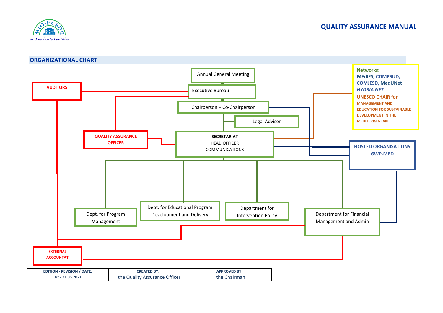

## **ORGANIZATIONAL CHART**

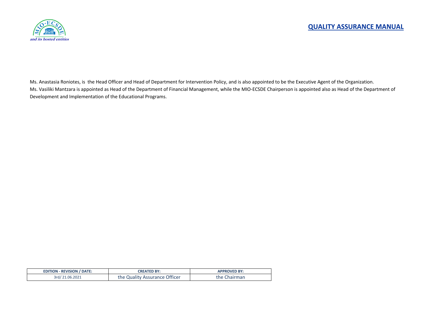



Ms. Anastasia Roniotes, is the Head Officer and Head of Department for Intervention Policy, and is also appointed to be the Executive Agent of the Organization. Ms. Vasiliki Mantzara is appointed as Head of the Department of Financial Management, while the MIO-ECSDE Chairperson is appointed also as Head of the Department of Development and Implementation of the Educational Programs.

| <b>EDITION - REVISION / DATE:</b> | <b>CREATED BY:</b>            | <b>APPROVED BY:</b> |
|-----------------------------------|-------------------------------|---------------------|
| 3rd/21.06.2021                    | the Quality Assurance Officer | the Chairman        |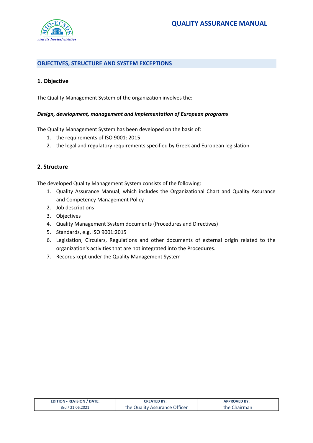

# **OBJECTIVES, STRUCTURE AND SYSTEM EXCEPTIONS**

# **1. Objective**

The Quality Management System of the organization involves the:

#### *Design, development, management and implementation of European programs*

The Quality Management System has been developed on the basis of:

- 1. the requirements of ISO 9001: 2015
- 2. the legal and regulatory requirements specified by Greek and European legislation

## **2. Structure**

The developed Quality Management System consists of the following:

- 1. Quality Assurance Manual, which includes the Organizational Chart and Quality Assurance and Competency Management Policy
- 2. Job descriptions
- 3. Objectives
- 4. Quality Management System documents (Procedures and Directives)
- 5. Standards, e.g. ISO 9001:2015
- 6. Legislation, Circulars, Regulations and other documents of external origin related to the organization's activities that are not integrated into the Procedures.
- 7. Records kept under the Quality Management System

| <b>EDITION - REVISION / DATE:</b> | <b>CREATED BY:</b>            | <b>APPROVED BY:</b> |
|-----------------------------------|-------------------------------|---------------------|
| 21.06.2021                        | the Quality Assurance Officer | Chairman<br>rne.    |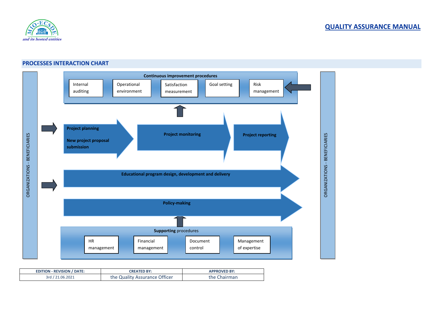

## **PROCESSES INTERACTION CHART**



| <b>EDITION - REVISION / DATE:</b> | <b>CREATED BY:</b>               | <b>APPROVED BY:</b> |
|-----------------------------------|----------------------------------|---------------------|
| 21.06.2021                        | <b>Quality Assurance Officer</b> | Chairman            |
| 3rd                               | chel                             | 'ne                 |